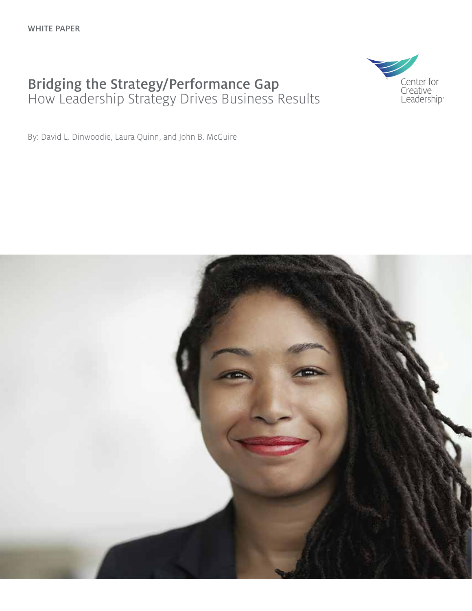## Bridging the Strategy/Performance Gap How Leadership Strategy Drives Business Results



By: David L. Dinwoodie, Laura Quinn, and John B. McGuire

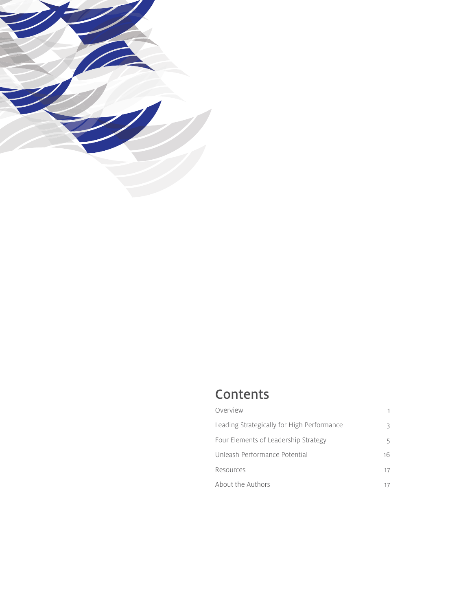

## **Contents**

| Overview                                   |               |
|--------------------------------------------|---------------|
| Leading Strategically for High Performance | R             |
| Four Elements of Leadership Strategy       | 5             |
| Unleash Performance Potential              | 16            |
| Resources                                  | $\frac{1}{2}$ |
| About the Authors                          |               |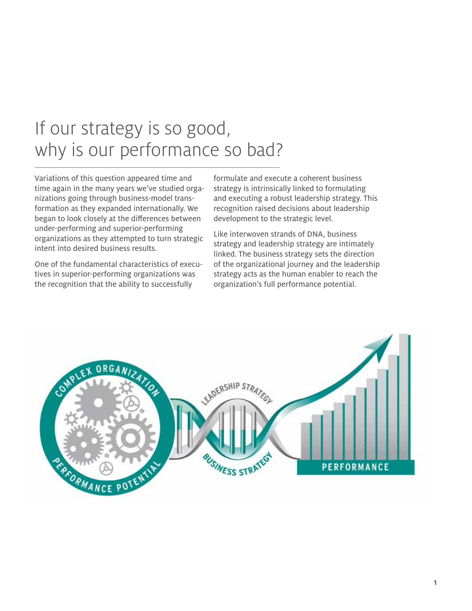## If our strategy is so good, why is our performance so bad?

Variations of this question appeared time and time again in the many years we've studied organizations going through business-model transformation as they expanded internationally. We began to look closely at the differences between under-performing and superior-performing organizations as they attempted to turn strategic intent into desired business results.

One of the fundamental characteristics of executives in superior-performing organizations was the recognition that the ability to successfully

formulate and execute a coherent business strategy is intrinsically linked to formulating and executing a robust leadership strategy. This recognition raised decisions about leadership development to the strategic level.

Like interwoven strands of DNA, business strategy and leadership strategy are intimately linked. The business strategy sets the direction of the organizational journey and the leadership strategy acts as the human enabler to reach the organization's full performance potential.

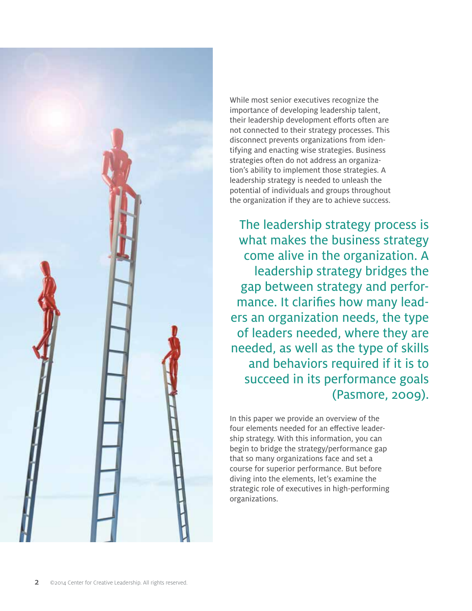

While most senior executives recognize the importance of developing leadership talent, their leadership development efforts often are not connected to their strategy processes. This disconnect prevents organizations from identifying and enacting wise strategies. Business strategies often do not address an organization's ability to implement those strategies. A leadership strategy is needed to unleash the potential of individuals and groups throughout the organization if they are to achieve success.

The leadership strategy process is what makes the business strategy come alive in the organization. A leadership strategy bridges the gap between strategy and performance. It clarifies how many leaders an organization needs, the type of leaders needed, where they are needed, as well as the type of skills and behaviors required if it is to succeed in its performance goals (Pasmore, 2009).

In this paper we provide an overview of the four elements needed for an effective leadership strategy. With this information, you can begin to bridge the strategy/performance gap that so many organizations face and set a course for superior performance. But before diving into the elements, let's examine the strategic role of executives in high-performing organizations.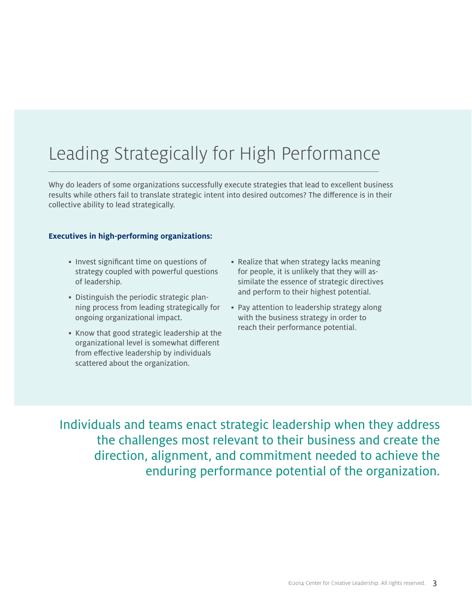# Leading Strategically for High Performance

Why do leaders of some organizations successfully execute strategies that lead to excellent business results while others fail to translate strategic intent into desired outcomes? The difference is in their collective ability to lead strategically.

#### **Executives in high-performing organizations:**

- Invest significant time on questions of strategy coupled with powerful questions of leadership.
- Distinguish the periodic strategic planning process from leading strategically for ongoing organizational impact.
- Know that good strategic leadership at the organizational level is somewhat different from effective leadership by individuals scattered about the organization.
- Realize that when strategy lacks meaning for people, it is unlikely that they will assimilate the essence of strategic directives and perform to their highest potential.
- Pay attention to leadership strategy along with the business strategy in order to reach their performance potential.

Individuals and teams enact strategic leadership when they address the challenges most relevant to their business and create the direction, alignment, and commitment needed to achieve the enduring performance potential of the organization.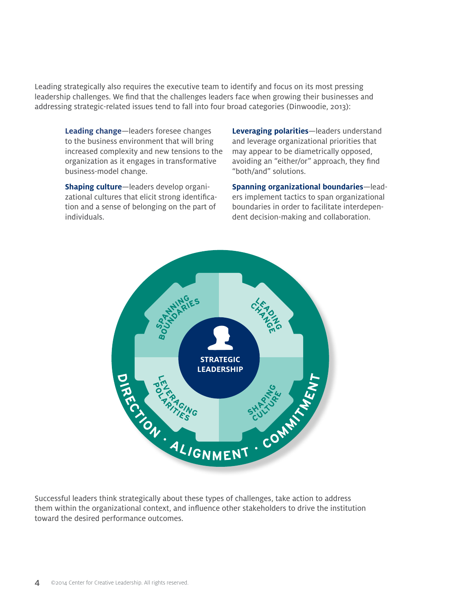Leading strategically also requires the executive team to identify and focus on its most pressing leadership challenges. We find that the challenges leaders face when growing their businesses and addressing strategic-related issues tend to fall into four broad categories (Dinwoodie, 2013):

**Leading change**—leaders foresee changes to the business environment that will bring increased complexity and new tensions to the organization as it engages in transformative business-model change.

**Shaping culture**—leaders develop organizational cultures that elicit strong identification and a sense of belonging on the part of individuals.

**Leveraging polarities**—leaders understand and leverage organizational priorities that may appear to be diametrically opposed, avoiding an "either/or" approach, they find "both/and" solutions.

**Spanning organizational boundaries**—leaders implement tactics to span organizational boundaries in order to facilitate interdependent decision-making and collaboration.



Successful leaders think strategically about these types of challenges, take action to address them within the organizational context, and influence other stakeholders to drive the institution toward the desired performance outcomes.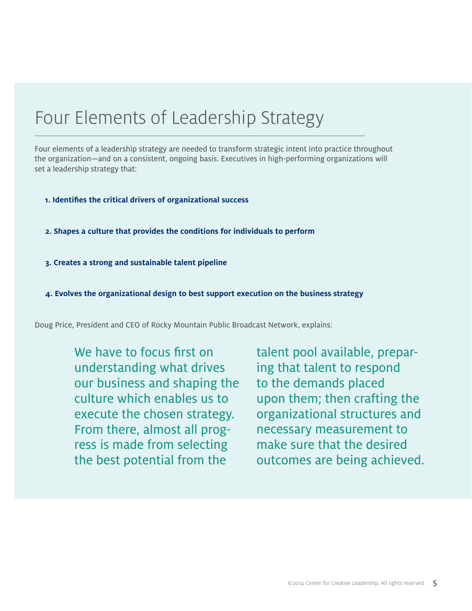## Four Elements of Leadership Strategy

Four elements of a leadership strategy are needed to transform strategic intent into practice throughout the organization—and on a consistent, ongoing basis. Executives in high-performing organizations will set a leadership strategy that:

- **1. Identifies the critical drivers of organizational success**
- **2. Shapes a culture that provides the conditions for individuals to perform**
- **3. Creates a strong and sustainable talent pipeline**
- **4. Evolves the organizational design to best support execution on the business strategy**

Doug Price, President and CEO of Rocky Mountain Public Broadcast Network, explains:

We have to focus first on understanding what drives our business and shaping the culture which enables us to execute the chosen strategy. From there, almost all progress is made from selecting the best potential from the

talent pool available, preparing that talent to respond to the demands placed upon them; then crafting the organizational structures and necessary measurement to make sure that the desired outcomes are being achieved.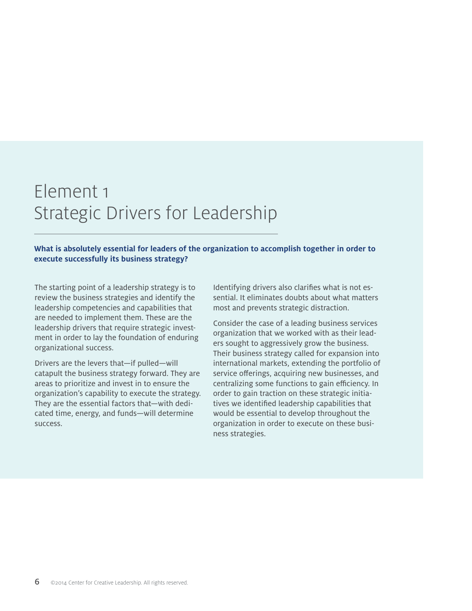# Element 1 Strategic Drivers for Leadership

**What is absolutely essential for leaders of the organization to accomplish together in order to execute successfully its business strategy?**

The starting point of a leadership strategy is to review the business strategies and identify the leadership competencies and capabilities that are needed to implement them. These are the leadership drivers that require strategic investment in order to lay the foundation of enduring organizational success.

Drivers are the levers that—if pulled—will catapult the business strategy forward. They are areas to prioritize and invest in to ensure the organization's capability to execute the strategy. They are the essential factors that—with dedicated time, energy, and funds—will determine success.

Identifying drivers also clarifies what is not essential. It eliminates doubts about what matters most and prevents strategic distraction.

Consider the case of a leading business services organization that we worked with as their leaders sought to aggressively grow the business. Their business strategy called for expansion into international markets, extending the portfolio of service offerings, acquiring new businesses, and centralizing some functions to gain efficiency. In order to gain traction on these strategic initiatives we identified leadership capabilities that would be essential to develop throughout the organization in order to execute on these business strategies.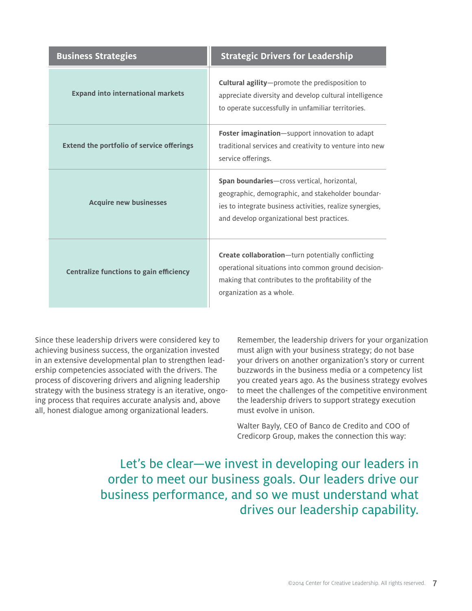| <b>Business Strategies</b>                       | <b>Strategic Drivers for Leadership</b>                                                                                                                                                                            |  |
|--------------------------------------------------|--------------------------------------------------------------------------------------------------------------------------------------------------------------------------------------------------------------------|--|
| <b>Expand into international markets</b>         | <b>Cultural agility</b> -promote the predisposition to<br>appreciate diversity and develop cultural intelligence<br>to operate successfully in unfamiliar territories.                                             |  |
| <b>Extend the portfolio of service offerings</b> | Foster imagination-support innovation to adapt<br>traditional services and creativity to venture into new<br>service offerings.                                                                                    |  |
| <b>Acquire new businesses</b>                    | <b>Span boundaries</b> —cross vertical, horizontal,<br>geographic, demographic, and stakeholder boundar-<br>ies to integrate business activities, realize synergies,<br>and develop organizational best practices. |  |
| <b>Centralize functions to gain efficiency</b>   | <b>Create collaboration</b> —turn potentially conflicting<br>operational situations into common ground decision-<br>making that contributes to the profitability of the<br>organization as a whole.                |  |

Since these leadership drivers were considered key to achieving business success, the organization invested in an extensive developmental plan to strengthen leadership competencies associated with the drivers. The process of discovering drivers and aligning leadership strategy with the business strategy is an iterative, ongoing process that requires accurate analysis and, above all, honest dialogue among organizational leaders.

Remember, the leadership drivers for your organization must align with your business strategy; do not base your drivers on another organization's story or current buzzwords in the business media or a competency list you created years ago. As the business strategy evolves to meet the challenges of the competitive environment the leadership drivers to support strategy execution must evolve in unison.

Walter Bayly, CEO of Banco de Credito and COO of Credicorp Group, makes the connection this way:

Let's be clear—we invest in developing our leaders in order to meet our business goals. Our leaders drive our business performance, and so we must understand what drives our leadership capability.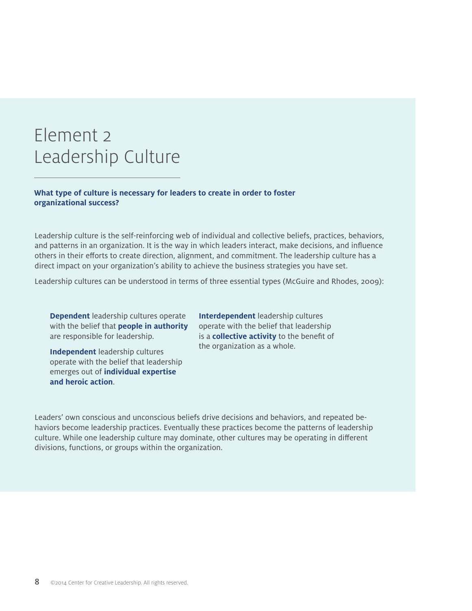# Element 2 Leadership Culture

### **What type of culture is necessary for leaders to create in order to foster organizational success?**

Leadership culture is the self-reinforcing web of individual and collective beliefs, practices, behaviors, and patterns in an organization. It is the way in which leaders interact, make decisions, and influence others in their efforts to create direction, alignment, and commitment. The leadership culture has a direct impact on your organization's ability to achieve the business strategies you have set.

Leadership cultures can be understood in terms of three essential types (McGuire and Rhodes, 2009):

**Dependent** leadership cultures operate with the belief that **people in authority** are responsible for leadership.

**Independent** leadership cultures operate with the belief that leadership emerges out of **individual expertise and heroic action**.

**Interdependent** leadership cultures operate with the belief that leadership is a **collective activity** to the benefit of the organization as a whole.

Leaders' own conscious and unconscious beliefs drive decisions and behaviors, and repeated behaviors become leadership practices. Eventually these practices become the patterns of leadership culture. While one leadership culture may dominate, other cultures may be operating in different divisions, functions, or groups within the organization.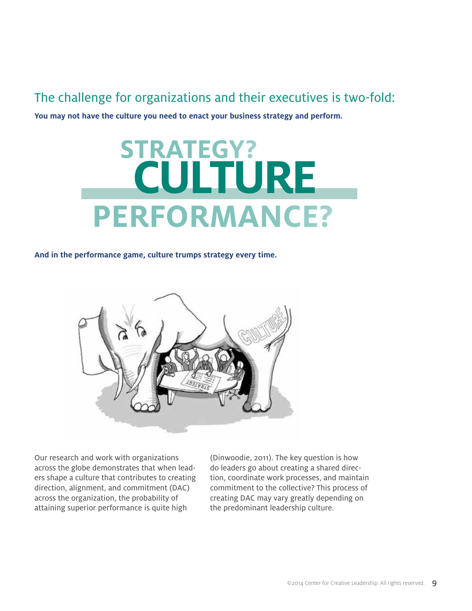## The challenge for organizations and their executives is two-fold:

**You may not have the culture you need to enact your business strategy and perform.**

# **CULTURE STRATEGY? PERFORMANCE?**

#### **And in the performance game, culture trumps strategy every time.**



Our research and work with organizations across the globe demonstrates that when leaders shape a culture that contributes to creating direction, alignment, and commitment (DAC) across the organization, the probability of attaining superior performance is quite high

(Dinwoodie, 2011). The key question is how do leaders go about creating a shared direction, coordinate work processes, and maintain commitment to the collective? This process of creating DAC may vary greatly depending on the predominant leadership culture.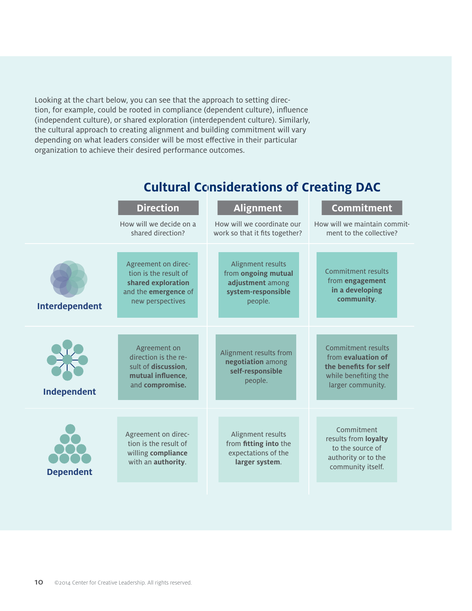Looking at the chart below, you can see that the approach to setting direction, for example, could be rooted in compliance (dependent culture), influence (independent culture), or shared exploration (interdependent culture). Similarly, the cultural approach to creating alignment and building commitment will vary depending on what leaders consider will be most effective in their particular organization to achieve their desired performance outcomes.

|                  | <b>Direction</b><br>How will we decide on a<br>shared direction?                                               | <b>Alignment</b><br>How will we coordinate our<br>work so that it fits together?              | <b>Commitment</b><br>How will we maintain commit-<br>ment to the collective?                                   |
|------------------|----------------------------------------------------------------------------------------------------------------|-----------------------------------------------------------------------------------------------|----------------------------------------------------------------------------------------------------------------|
| Interdependent   | Agreement on direc-<br>tion is the result of<br>shared exploration<br>and the emergence of<br>new perspectives | Alignment results<br>from ongoing mutual<br>adjustment among<br>system-responsible<br>people. | <b>Commitment results</b><br>from engagement<br>in a developing<br>community.                                  |
| Independent      | Agreement on<br>direction is the re-<br>sult of discussion,<br>mutual influence,<br>and compromise.            | Alignment results from<br>negotiation among<br>self-responsible<br>people.                    | Commitment results<br>from evaluation of<br>the benefits for self<br>while benefiting the<br>larger community. |
| <b>Dependent</b> | Agreement on direc-<br>tion is the result of<br>willing compliance<br>with an authority.                       | Alignment results<br>from fitting into the<br>expectations of the<br>larger system.           | Commitment<br>results from loyalty<br>to the source of<br>authority or to the<br>community itself.             |

## **Cultural Considerations of Creating DAC**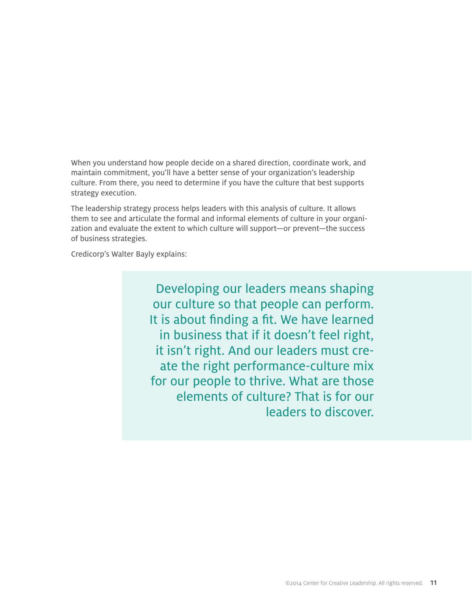When you understand how people decide on a shared direction, coordinate work, and maintain commitment, you'll have a better sense of your organization's leadership culture. From there, you need to determine if you have the culture that best supports strategy execution.

The leadership strategy process helps leaders with this analysis of culture. It allows them to see and articulate the formal and informal elements of culture in your organization and evaluate the extent to which culture will support—or prevent—the success of business strategies.

Credicorp's Walter Bayly explains:

Developing our leaders means shaping our culture so that people can perform. It is about finding a fit. We have learned in business that if it doesn't feel right, it isn't right. And our leaders must create the right performance-culture mix for our people to thrive. What are those elements of culture? That is for our leaders to discover.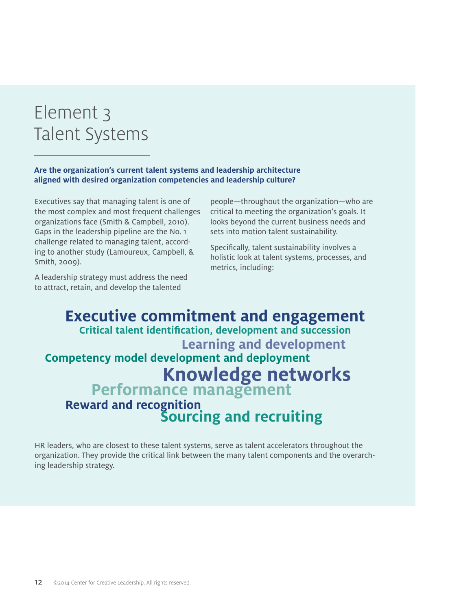# Element 3 Talent Systems

## **Are the organization's current talent systems and leadership architecture aligned with desired organization competencies and leadership culture?**

Executives say that managing talent is one of the most complex and most frequent challenges organizations face (Smith & Campbell, 2010). Gaps in the leadership pipeline are the No. 1 challenge related to managing talent, according to another study (Lamoureux, Campbell, & Smith, 2009).

A leadership strategy must address the need to attract, retain, and develop the talented

people—throughout the organization—who are critical to meeting the organization's goals. It looks beyond the current business needs and sets into motion talent sustainability.

Specifically, talent sustainability involves a holistic look at talent systems, processes, and metrics, including:

## **Executive commitment and engagement Critical talent identification, development and succession Competency model development and deployment Learning and development Knowledge networks**<br>**Performance management**<br>**Reward and recognition Reward and recognition Sourcing and recruiting**

HR leaders, who are closest to these talent systems, serve as talent accelerators throughout the organization. They provide the critical link between the many talent components and the overarching leadership strategy.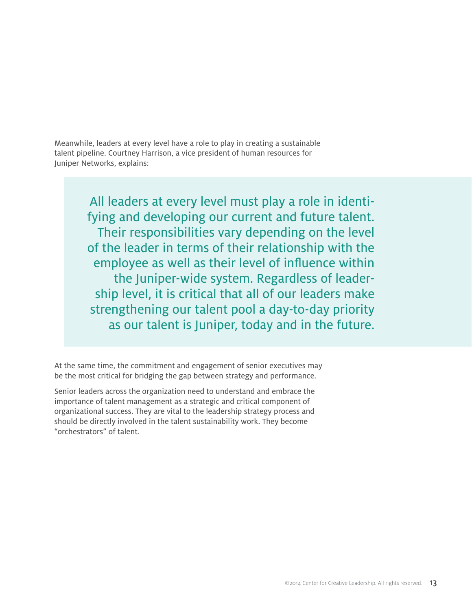Meanwhile, leaders at every level have a role to play in creating a sustainable talent pipeline. Courtney Harrison, a vice president of human resources for Juniper Networks, explains:

> All leaders at every level must play a role in identifying and developing our current and future talent. Their responsibilities vary depending on the level of the leader in terms of their relationship with the employee as well as their level of influence within the Juniper-wide system. Regardless of leadership level, it is critical that all of our leaders make strengthening our talent pool a day-to-day priority as our talent is Juniper, today and in the future.

At the same time, the commitment and engagement of senior executives may be the most critical for bridging the gap between strategy and performance.

Senior leaders across the organization need to understand and embrace the importance of talent management as a strategic and critical component of organizational success. They are vital to the leadership strategy process and should be directly involved in the talent sustainability work. They become "orchestrators" of talent.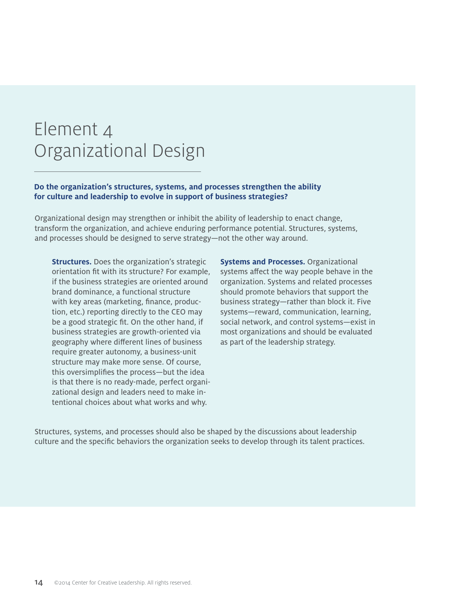# Element 4 Organizational Design

#### **Do the organization's structures, systems, and processes strengthen the ability for culture and leadership to evolve in support of business strategies?**

Organizational design may strengthen or inhibit the ability of leadership to enact change, transform the organization, and achieve enduring performance potential. Structures, systems, and processes should be designed to serve strategy—not the other way around.

**Structures.** Does the organization's strategic orientation fit with its structure? For example, if the business strategies are oriented around brand dominance, a functional structure with key areas (marketing, finance, production, etc.) reporting directly to the CEO may be a good strategic fit. On the other hand, if business strategies are growth-oriented via geography where different lines of business require greater autonomy, a business-unit structure may make more sense. Of course, this oversimplifies the process—but the idea is that there is no ready-made, perfect organizational design and leaders need to make intentional choices about what works and why.

**Systems and Processes.** Organizational systems affect the way people behave in the organization. Systems and related processes should promote behaviors that support the business strategy—rather than block it. Five systems—reward, communication, learning, social network, and control systems—exist in most organizations and should be evaluated as part of the leadership strategy.

Structures, systems, and processes should also be shaped by the discussions about leadership culture and the specific behaviors the organization seeks to develop through its talent practices.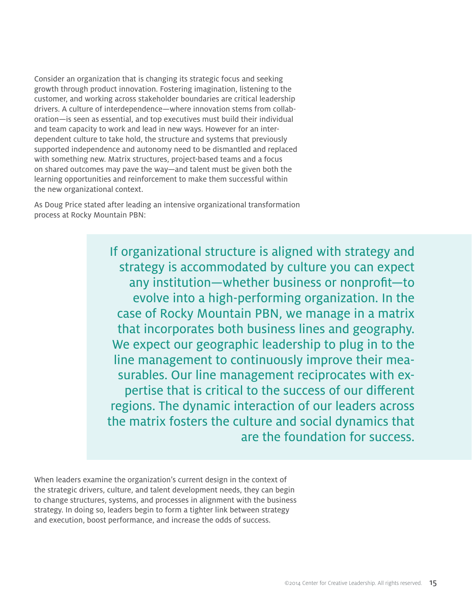Consider an organization that is changing its strategic focus and seeking growth through product innovation. Fostering imagination, listening to the customer, and working across stakeholder boundaries are critical leadership drivers. A culture of interdependence—where innovation stems from collaboration—is seen as essential, and top executives must build their individual and team capacity to work and lead in new ways. However for an interdependent culture to take hold, the structure and systems that previously supported independence and autonomy need to be dismantled and replaced with something new. Matrix structures, project-based teams and a focus on shared outcomes may pave the way—and talent must be given both the learning opportunities and reinforcement to make them successful within the new organizational context.

As Doug Price stated after leading an intensive organizational transformation process at Rocky Mountain PBN:

> If organizational structure is aligned with strategy and strategy is accommodated by culture you can expect any institution—whether business or nonprofit—to evolve into a high-performing organization. In the case of Rocky Mountain PBN, we manage in a matrix that incorporates both business lines and geography. We expect our geographic leadership to plug in to the line management to continuously improve their measurables. Our line management reciprocates with expertise that is critical to the success of our different regions. The dynamic interaction of our leaders across the matrix fosters the culture and social dynamics that are the foundation for success.

When leaders examine the organization's current design in the context of the strategic drivers, culture, and talent development needs, they can begin to change structures, systems, and processes in alignment with the business strategy. In doing so, leaders begin to form a tighter link between strategy and execution, boost performance, and increase the odds of success.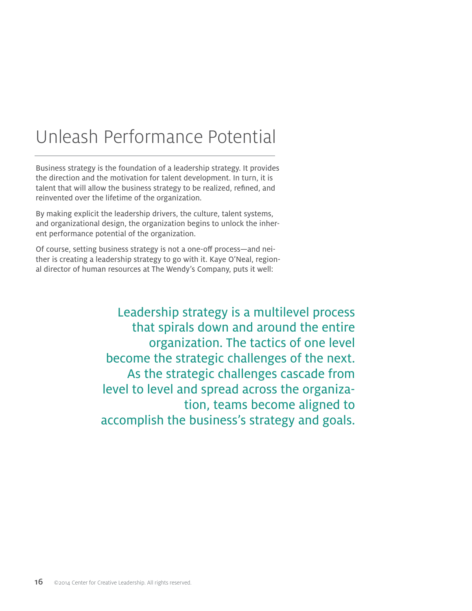# Unleash Performance Potential

Business strategy is the foundation of a leadership strategy. It provides the direction and the motivation for talent development. In turn, it is talent that will allow the business strategy to be realized, refined, and reinvented over the lifetime of the organization.

By making explicit the leadership drivers, the culture, talent systems, and organizational design, the organization begins to unlock the inherent performance potential of the organization.

Of course, setting business strategy is not a one-off process—and neither is creating a leadership strategy to go with it. Kaye O'Neal, regional director of human resources at The Wendy's Company, puts it well:

> Leadership strategy is a multilevel process that spirals down and around the entire organization. The tactics of one level become the strategic challenges of the next. As the strategic challenges cascade from level to level and spread across the organization, teams become aligned to accomplish the business's strategy and goals.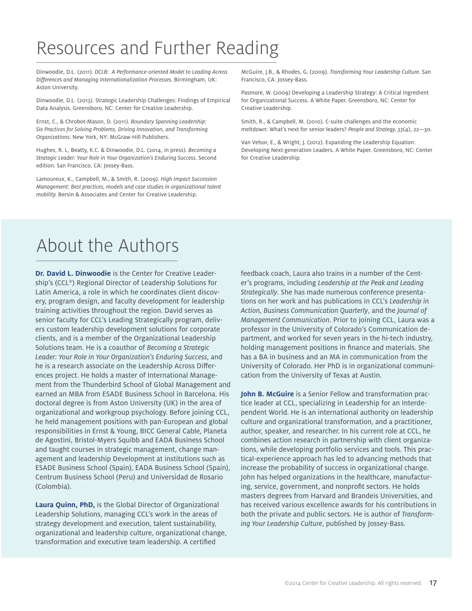# Resources and Further Reading

Dinwoodie, D.L. (2011). *DCLB: A Performance-oriented Model to Leading Across Differences and Managing Internationalization Processes.* Birmingham, UK: Aston University.

Dinwoodie, D.L. (2013). Strategic Leadership Challenges: Findings of Empirical Data Analysis. Greensboro, NC: Center for Creative Leadership.

Ernst, C., & Chrobot-Mason, D. (2011). *Boundary Spanning Leadership: Six Practices for Solving Problems, Driving Innovation, and Transforming Organizations.* New York, NY: McGraw-Hill Publishers.

Hughes, R. L, Beatty, K.C. & Dinwoodie, D.L. (2014, in press). *Becoming a Strategic Leader: Your Role in Your Organization's Enduring Success.* Second edition. San Francisco, CA: Jossey-Bass.

Lamoureux, K., Campbell, M., & Smith, R. (2009). *High Impact Succession Management: Best practices, models and case studies in organizational talent mobility.* Bersin & Associates and Center for Creative Leadership.

McGuire, J.B., & Rhodes, G. (2009). *Transforming Your Leadership Culture.* San Francisco, CA: Jossey-Bass.

Pasmore, W. (2009) Developing a Leadership Strategy: A Critical Ingredient for Organizational Success. A White Paper. Greensboro, NC: Center for Creative Leadership.

Smith, R., & Campbell, M. (2010). C-suite challenges and the economic meltdown: What's next for senior leaders? *People and Strategy, 33*(4), 22—30.

Van Velsor, E., & Wright, J. (2012). Expanding the Leadership Equation: Developing Next-generation Leaders. A White Paper. Greensboro, NC: Center for Creative Leadership.

## About the Authors

**Dr. David L. Dinwoodie** is the Center for Creative Leadership's (CCL®) Regional Director of Leadership Solutions for Latin America, a role in which he coordinates client discovery, program design, and faculty development for leadership training activities throughout the region. David serves as senior faculty for CCL's Leading Strategically program, delivers custom leadership development solutions for corporate clients, and is a member of the Organizational Leadership Solutions team. He is a coauthor of *Becoming a Strategic Leader: Your Role in Your Organization's Enduring Success*, and he is a research associate on the Leadership Across Differences project. He holds a master of International Management from the Thunderbird School of Global Management and earned an MBA from ESADE Business School in Barcelona. His doctoral degree is from Aston University (UK) in the area of organizational and workgroup psychology. Before joining CCL, he held management positions with pan-European and global responsibilities in Ernst & Young, BICC General Cable, Planeta de Agostini, Bristol-Myers Squibb and EADA Business School and taught courses in strategic management, change management and leadership Development at institutions such as ESADE Business School (Spain), EADA Business School (Spain), Centrum Business School (Peru) and Universidad de Rosario (Colombia).

**Laura Quinn, PhD,** is the Global Director of Organizational Leadership Solutions, managing CCL's work in the areas of strategy development and execution, talent sustainability, organizational and leadership culture, organizational change, transformation and executive team leadership. A certified

feedback coach, Laura also trains in a number of the Center's programs, including *Leadership at the Peak and Leading Strategically*. She has made numerous conference presentations on her work and has publications in CCL's *Leadership in Action, Business Communication Quarterly*, and the *Journal of Management Communication*. Prior to joining CCL, Laura was a professor in the University of Colorado's Communication department, and worked for seven years in the hi-tech industry, holding management positions in finance and materials. She has a BA in business and an MA in communication from the University of Colorado. Her PhD is in organizational communication from the University of Texas at Austin.

**John B. McGuire** is a Senior Fellow and transformation practice leader at CCL, specializing in Leadership for an Interdependent World. He is an international authority on leadership culture and organizational transformation, and a practitioner, author, speaker, and researcher. In his current role at CCL, he combines action research in partnership with client organizations, while developing portfolio services and tools. This practical-experience approach has led to advancing methods that increase the probability of success in organizational change. John has helped organizations in the healthcare, manufacturing, service, government, and nonprofit sectors. He holds masters degrees from Harvard and Brandeis Universities, and has received various excellence awards for his contributions in both the private and public sectors. He is author of *Transforming Your Leadership Culture*, published by Jossey-Bass.